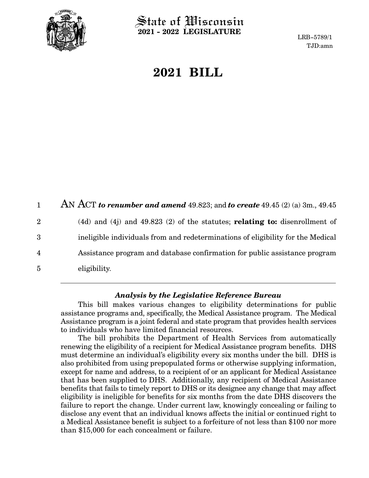

 $\operatorname{\mathsf{State}}$  of Wisconsin **2021 - 2022 LEGISLATURE**

LRB-5789/1 TJD:amn

# **2021 BILL**

AN ACT *to renumber and amend* 49.823; and *to create* 49.45 (2) (a) 3m., 49.45 (4d) and (4j) and 49.823 (2) of the statutes; **relating to:** disenrollment of ineligible individuals from and redeterminations of eligibility for the Medical Assistance program and database confirmation for public assistance program eligibility. 1 2 3 4 5

### *Analysis by the Legislative Reference Bureau*

This bill makes various changes to eligibility determinations for public assistance programs and, specifically, the Medical Assistance program. The Medical Assistance program is a joint federal and state program that provides health services to individuals who have limited financial resources.

The bill prohibits the Department of Health Services from automatically renewing the eligibility of a recipient for Medical Assistance program benefits. DHS must determine an individual's eligibility every six months under the bill. DHS is also prohibited from using prepopulated forms or otherwise supplying information, except for name and address, to a recipient of or an applicant for Medical Assistance that has been supplied to DHS. Additionally, any recipient of Medical Assistance benefits that fails to timely report to DHS or its designee any change that may affect eligibility is ineligible for benefits for six months from the date DHS discovers the failure to report the change. Under current law, knowingly concealing or failing to disclose any event that an individual knows affects the initial or continued right to a Medical Assistance benefit is subject to a forfeiture of not less than \$100 nor more than \$15,000 for each concealment or failure.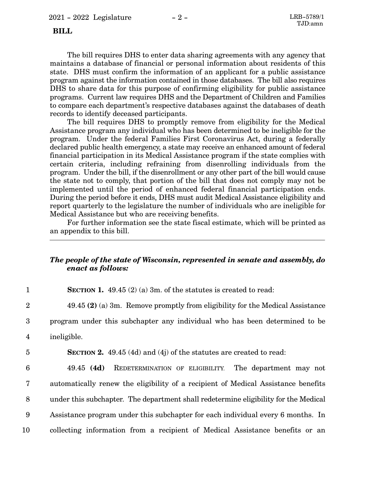#### **BILL**

The bill requires DHS to enter data sharing agreements with any agency that maintains a database of financial or personal information about residents of this state. DHS must confirm the information of an applicant for a public assistance program against the information contained in those databases. The bill also requires DHS to share data for this purpose of confirming eligibility for public assistance programs. Current law requires DHS and the Department of Children and Families to compare each department's respective databases against the databases of death records to identify deceased participants.

The bill requires DHS to promptly remove from eligibility for the Medical Assistance program any individual who has been determined to be ineligible for the program. Under the federal Families First Coronavirus Act, during a federally declared public health emergency, a state may receive an enhanced amount of federal financial participation in its Medical Assistance program if the state complies with certain criteria, including refraining from disenrolling individuals from the program. Under the bill, if the disenrollment or any other part of the bill would cause the state not to comply, that portion of the bill that does not comply may not be implemented until the period of enhanced federal financial participation ends. During the period before it ends, DHS must audit Medical Assistance eligibility and report quarterly to the legislature the number of individuals who are ineligible for Medical Assistance but who are receiving benefits.

For further information see the state fiscal estimate, which will be printed as an appendix to this bill.

## *The people of the state of Wisconsin, represented in senate and assembly, do enact as follows:*

**SECTION 1.** 49.45 (2) (a) 3m. of the statutes is created to read: 1

49.45 **(2)** (a) 3m. Remove promptly from eligibility for the Medical Assistance

program under this subchapter any individual who has been determined to be 3

- ineligible. 4
- 5

2

**SECTION 2.** 49.45 (4d) and (4j) of the statutes are created to read:

49.45 **(4d)** REDETERMINATION OF ELIGIBILITY. The department may not automatically renew the eligibility of a recipient of Medical Assistance benefits under this subchapter. The department shall redetermine eligibility for the Medical Assistance program under this subchapter for each individual every 6 months. In collecting information from a recipient of Medical Assistance benefits or an 6 7 8 9 10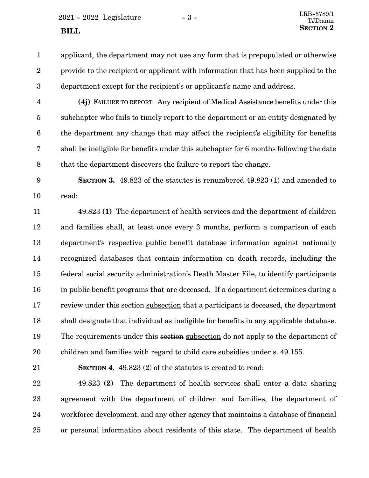$2021 - 2022$  Legislature  $-3 -$  LRB-5789/1

applicant, the department may not use any form that is prepopulated or otherwise provide to the recipient or applicant with information that has been supplied to the department except for the recipient's or applicant's name and address. 1 2 3

**(4j)** FAILURE TO REPORT. Any recipient of Medical Assistance benefits under this subchapter who fails to timely report to the department or an entity designated by the department any change that may affect the recipient's eligibility for benefits shall be ineligible for benefits under this subchapter for 6 months following the date that the department discovers the failure to report the change. 4 5 6 7 8

**SECTION 3.** 49.823 of the statutes is renumbered 49.823 (1) and amended to read: 9 10

49.823 **(1)** The department of health services and the department of children and families shall, at least once every 3 months, perform a comparison of each department's respective public benefit database information against nationally recognized databases that contain information on death records, including the federal social security administration's Death Master File, to identify participants in public benefit programs that are deceased. If a department determines during a review under this section subsection that a participant is deceased, the department shall designate that individual as ineligible for benefits in any applicable database. The requirements under this section subsection do not apply to the department of children and families with regard to child care subsidies under s. 49.155. 11 12 13 14 15 16 17 18 19 20

21

**SECTION 4.** 49.823 (2) of the statutes is created to read:

49.823 **(2)** The department of health services shall enter a data sharing agreement with the department of children and families, the department of workforce development, and any other agency that maintains a database of financial or personal information about residents of this state. The department of health 22 23 24 25